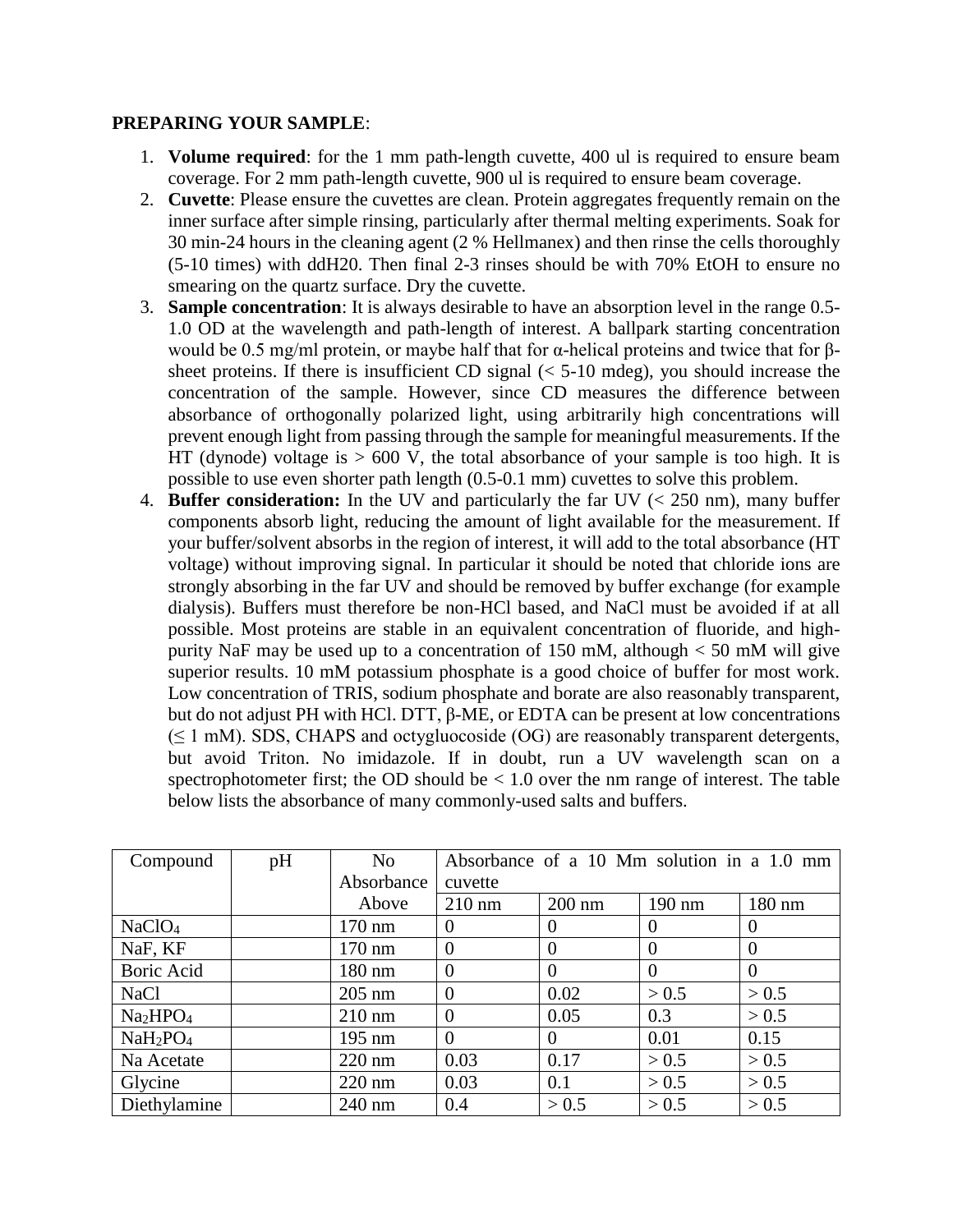## **PREPARING YOUR SAMPLE**:

- 1. **Volume required**: for the 1 mm path-length cuvette, 400 ul is required to ensure beam coverage. For 2 mm path-length cuvette, 900 ul is required to ensure beam coverage.
- 2. **Cuvette**: Please ensure the cuvettes are clean. Protein aggregates frequently remain on the inner surface after simple rinsing, particularly after thermal melting experiments. Soak for 30 min-24 hours in the cleaning agent (2 % Hellmanex) and then rinse the cells thoroughly (5-10 times) with ddH20. Then final 2-3 rinses should be with 70% EtOH to ensure no smearing on the quartz surface. Dry the cuvette.
- 3. **Sample concentration**: It is always desirable to have an absorption level in the range 0.5- 1.0 OD at the wavelength and path-length of interest. A ballpark starting concentration would be 0.5 mg/ml protein, or maybe half that for α-helical proteins and twice that for βsheet proteins. If there is insufficient CD signal  $( $5-10$  mdeg), you should increase the$ concentration of the sample. However, since CD measures the difference between absorbance of orthogonally polarized light, using arbitrarily high concentrations will prevent enough light from passing through the sample for meaningful measurements. If the HT (dynode) voltage is  $> 600$  V, the total absorbance of your sample is too high. It is possible to use even shorter path length (0.5-0.1 mm) cuvettes to solve this problem.
- 4. **Buffer consideration:** In the UV and particularly the far UV (< 250 nm), many buffer components absorb light, reducing the amount of light available for the measurement. If your buffer/solvent absorbs in the region of interest, it will add to the total absorbance (HT voltage) without improving signal. In particular it should be noted that chloride ions are strongly absorbing in the far UV and should be removed by buffer exchange (for example dialysis). Buffers must therefore be non-HCl based, and NaCl must be avoided if at all possible. Most proteins are stable in an equivalent concentration of fluoride, and highpurity NaF may be used up to a concentration of 150 mM, although  $<$  50 mM will give superior results. 10 mM potassium phosphate is a good choice of buffer for most work. Low concentration of TRIS, sodium phosphate and borate are also reasonably transparent, but do not adjust PH with HCl. DTT, β-ME, or EDTA can be present at low concentrations  $(\leq 1 \text{ mM})$ . SDS, CHAPS and octygluocoside (OG) are reasonably transparent detergents, but avoid Triton. No imidazole. If in doubt, run a UV wavelength scan on a spectrophotometer first; the OD should be  $< 1.0$  over the nm range of interest. The table below lists the absorbance of many commonly-used salts and buffers.

| Compound                         | pH | N <sub>o</sub>   | Absorbance of a 10 Mm solution in a 1.0 mm |          |          |                  |  |
|----------------------------------|----|------------------|--------------------------------------------|----------|----------|------------------|--|
|                                  |    | Absorbance       | cuvette                                    |          |          |                  |  |
|                                  |    | Above            | $210 \text{ nm}$                           | $200$ nm | $190$ nm | $180 \text{ nm}$ |  |
| NaClO <sub>4</sub>               |    | 170 nm           | $\Omega$                                   | $\theta$ | $\theta$ | $\Omega$         |  |
| NaF, KF                          |    | $170 \text{ nm}$ | $\theta$                                   | $\Omega$ | $\Omega$ | $\overline{0}$   |  |
| Boric Acid                       |    | $180 \text{ nm}$ | $\overline{0}$                             | $\Omega$ | $\Omega$ | $\theta$         |  |
| <b>NaCl</b>                      |    | $205$ nm         | $\Omega$                                   | 0.02     | > 0.5    | > 0.5            |  |
| Na <sub>2</sub> HPO <sub>4</sub> |    | $210 \text{ nm}$ | $\overline{0}$                             | 0.05     | 0.3      | > 0.5            |  |
| $NaH_2PO_4$                      |    | $195 \text{ nm}$ | $\Omega$                                   | $\Omega$ | 0.01     | 0.15             |  |
| Na Acetate                       |    | $220 \text{ nm}$ | 0.03                                       | 0.17     | > 0.5    | > 0.5            |  |
| Glycine                          |    | $220$ nm         | 0.03                                       | 0.1      | > 0.5    | > 0.5            |  |
| Diethylamine                     |    | $240$ nm         | 0.4                                        | > 0.5    | > 0.5    | > 0.5            |  |